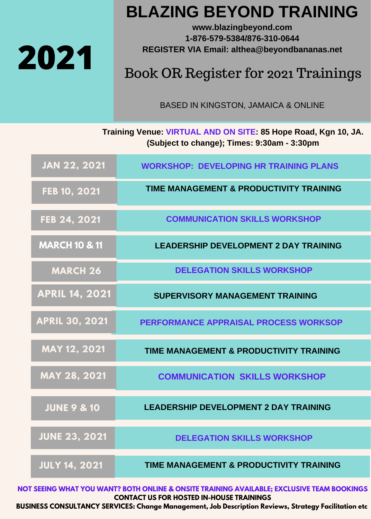

## **BLAZING BEYOND TRAINING**

**www.blazingbeyond.com 1-876-579-5384/876-310-0644 REGISTER VIA Email: althea@beyondbananas.net**

## Book OR Register for 2021 Trainings

BASED IN KINGSTON, JAMAICA & ONLINE

**Training Venue: VIRTUAL AND ON SITE: 85 Hope Road, Kgn 10, JA. (Subject to change); Times: 9:30am - 3:30pm**

| <b>JAN 22, 2021</b>      | <b>WORKSHOP: DEVELOPING HR TRAINING PLANS</b>      |
|--------------------------|----------------------------------------------------|
| FEB 10, 2021             | <b>TIME MANAGEMENT &amp; PRODUCTIVITY TRAINING</b> |
| FEB 24, 2021             | <b>COMMUNICATION SKILLS WORKSHOP</b>               |
| <b>MARCH 10 &amp; 11</b> | <b>LEADERSHIP DEVELOPMENT 2 DAY TRAINING</b>       |
| <b>MARCH 26</b>          | <b>DELEGATION SKILLS WORKSHOP</b>                  |
| <b>APRIL 14, 2021</b>    | <b>SUPERVISORY MANAGEMENT TRAINING</b>             |
| <b>APRIL 30, 2021</b>    | <b>PERFORMANCE APPRAISAL PROCESS WORKSOP</b>       |
| MAY 12, 2021             | <b>TIME MANAGEMENT &amp; PRODUCTIVITY TRAINING</b> |
| <b>MAY 28, 2021</b>      | <b>COMMUNICATION SKILLS WORKSHOP</b>               |
| <b>JUNE 9 &amp; 10</b>   | <b>LEADERSHIP DEVELOPMENT 2 DAY TRAINING</b>       |
| <b>JUNE 23, 2021</b>     | <b>DELEGATION SKILLS WORKSHOP</b>                  |
| <b>JULY 14, 2021</b>     | TIME MANAGEMENT & PRODUCTIVITY TRAINING            |

**NOT SEEING WHAT YOU WANT? BOTH ONLINE & ONSITE TRAINING AVAILABLE; EXCLUSIVE TEAM BOOKINGS CONTACT US FOR HOSTED IN-HOUSE TRAININGS**

**BUSINESS CONSULTANCY SERVICES: Change Management, Job Description Reviews, Strategy Facilitation etc**